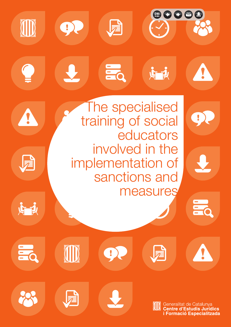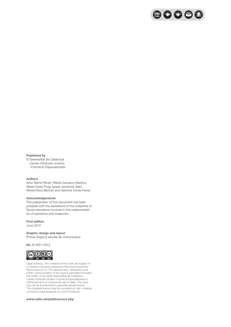

#### **Published by**

© Generalitat de Catalunya Centre d'Estudis Jurídics i Formació Especialitzada

#### **Authors**

Artur Barrio Ricart, Marta Carrasco Moreno, Marta Ferrer Puig, Ignasi Jambrina Gato, Mireia Roca Bertran and Gemma Torres Ferrer.

#### **Acknowledgements**

The preparation of this document has been possible with the assistance of the collective of Social educators involved in the implementation of sanctions and measures.

#### **First edition**

June 2012

#### **Graphic design and layout**

Primer Segona serveis de comunicació

**DL:** B.3931-2013



Legal warning. The contents of this work are subject to a Creative Commons Attribution-NonCommercial-No Derivs licence 3.0. The reproduction, distribution and public communication of the work is permitted provided the holder of the rights (Generalitat de Catalunya. Centre d'Estudis Jurídics i Formació Especialitzada) is mentioned and no commercial use is made. This work may not be transformed to generate derived works. The complete licence may be consulted at: http://creative commons.org/licenses/by-nc-nd/3.0/deed.en

#### **www.cejfe.cat/publicacions.php**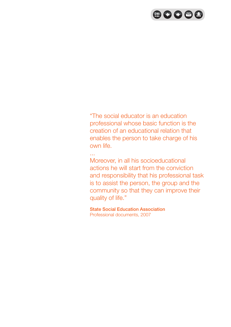

"The social educator is an education professional whose basic function is the creation of an educational relation that enables the person to take charge of his own life.

Moreover, in all his socioeducational actions he will start from the conviction and responsibility that his professional task is to assist the person, the group and the community so that they can improve their quality of life."

State Social Education Association Professional documents, 2007

...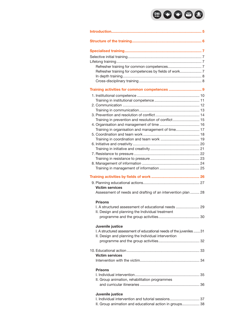# 80088

|  | Refresher training for competences by fields of work 7                                                                     |  |
|--|----------------------------------------------------------------------------------------------------------------------------|--|
|  |                                                                                                                            |  |
|  |                                                                                                                            |  |
|  | Training activities for common competences  9                                                                              |  |
|  |                                                                                                                            |  |
|  |                                                                                                                            |  |
|  |                                                                                                                            |  |
|  |                                                                                                                            |  |
|  |                                                                                                                            |  |
|  | Training in prevention and resolution of conflict 15                                                                       |  |
|  |                                                                                                                            |  |
|  | Training in organisation and management of time 17                                                                         |  |
|  |                                                                                                                            |  |
|  |                                                                                                                            |  |
|  |                                                                                                                            |  |
|  |                                                                                                                            |  |
|  |                                                                                                                            |  |
|  |                                                                                                                            |  |
|  |                                                                                                                            |  |
|  |                                                                                                                            |  |
|  |                                                                                                                            |  |
|  |                                                                                                                            |  |
|  | <b>Victim services</b>                                                                                                     |  |
|  | Assessment of needs and drafting of an intervention plan  28                                                               |  |
|  | <b>Prisons</b>                                                                                                             |  |
|  | I. A structured assessment of educational needs  29                                                                        |  |
|  | II. Design and planning the Individual treatment                                                                           |  |
|  |                                                                                                                            |  |
|  |                                                                                                                            |  |
|  | Juvenile justice                                                                                                           |  |
|  | I. A structured assessment of educational needs of the juveniles 31<br>II. Design and planning the Individual intervention |  |
|  |                                                                                                                            |  |
|  |                                                                                                                            |  |
|  |                                                                                                                            |  |
|  | <b>Victim services</b>                                                                                                     |  |
|  |                                                                                                                            |  |
|  | <b>Prisons</b>                                                                                                             |  |
|  |                                                                                                                            |  |
|  | II. Group animation, rehabilitation programmes                                                                             |  |
|  |                                                                                                                            |  |
|  |                                                                                                                            |  |
|  | Juvenile justice<br>I. Individual intervention and tutorial sessions 37                                                    |  |
|  | II. Group animation and educational action in groups 38                                                                    |  |
|  |                                                                                                                            |  |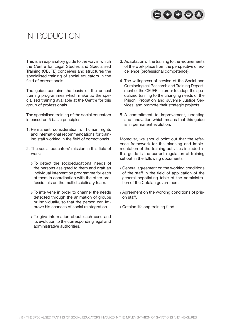

## Introduction

This is an explanatory guide to the way in which the Centre for Legal Studies and Specialised Training (CEJFE) conceives and structures the specialised training of social educators in the field of correctionals.

The guide contains the basis of the annual training programmes which make up the specialised training available at the Centre for this group of professionals.

The specialised training of the social educators is based on 5 basic principles:

- 1. Permanent consideration of human rights and international recommendations for training staff working in the field of correctionals.
- 2. The social educators' mission in this field of work:
	- To detect the socioeducational needs of the persons assigned to them and draft an individual intervention programme for each of them in coordination with the other professionals on the multidisciplinary team.
	- To intervene in order to channel the needs detected through the animation of groups or individually, so that the person can improve his chances of social reintegration.
	- To give information about each case and its evolution to the corresponding legal and administrative authorities.
- 3. Adaptation of the training to the requirements of the work place from the perspective of excellence (professional competence).
- 4. The willingness of service of the Social and Criminological Research and Training Department of the CEJFE, in order to adapt the specialized training to the changing needs of the Prison, Probation and Juvenile Justice Services, and promote their strategic projects.
- 5. A commitment to improvement, updating and innovation which means that this guide is in permanent evolution.

Moreover, we should point out that the reference framework for the planning and implementation of the training activities included in this guide is the current regulation of training set out in the following documents:

- General agreement on the working conditions of the staff in the field of application of the general negotiating table of the administration of the Catalan government.
- Agreement on the working conditions of prison staff.
- Catalan lifelong training fund.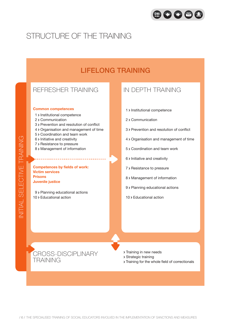

## Structure of the training

## Lifelong training

## Refresher training

#### **Common competences**

- 1 > Institutional competence
- 2 > Communication
- 3 Prevention and resolution of conflict
- 4 Organisation and management of time
- 5 > Coordination and team work
- 6 > Initiative and creativity
- 7 > Resistance to pressure
- 8 > Management of information

**Competences by fields of work: Victim services Prisons Juvenile justice**

9 > Planning educational actions 10 > Educational action

### IN DEPTH TRAINING

- 1 > Institutional competence
- 2 Communication
- 3 Prevention and resolution of conflict
- 4 Organisation and management of time
- 5 Coordination and team work
- $6$  Initiative and creativity
- 7 > Resistance to pressure
- 8 > Management of information
- 9 > Planning educational actions
- 10 > Educational action



- **> Training in new needs**
- Strategic training
- Training for the whole field of correctionals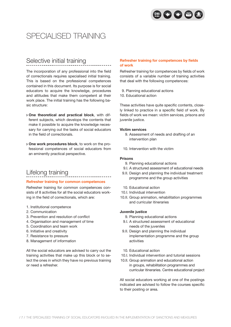

## SPECIALISED TRAINING

## Selective initial training

The incorporation of any professional into the field of correctionals requires specialised initial training. This is based on the professional competences contained in this document. Its purpose is for social educators to acquire the knowledge, procedures and attitudes that make them competent at their work place. The initial training has the following basic structure:

- **One theoretical and practical block**, with different subjects, which develops the contents that make it possible to acquire the knowledge necessary for carrying out the tasks of social educators in the field of correctionals.
- **One work procedures block**, to work on the professional competences of social educators from an eminently practical perspective.

## Lifelong training

#### **Refresher training for common competences**

Refresher training for common competences consists of 8 activities for all the social educators working in the field of correctionals, which are:

- 1. Institutional competence
- 2. Communication
- 3. Prevention and resolution of conflict
- 4. Organisation and management of time
- 5. Coordination and team work
- 6. Initiative and creativity
- 7. Resistance to pressure
- 8. Management of information

All the social educators are advised to carry out the training activities that make up this block or to select the ones in which they have no previous training or need a refresher.

#### **Refresher training for competences by fields of work**

Refresher training for competences by fields of work consists of a variable number of training activities that deal with the following competences:

- 9. Planning educational actions
- 10. Educational action

These activities have quite specific contents, closely linked to practice in a specific field of work. By fields of work we mean: victim services, prisons and juvenile justice.

#### **Victim services**

- 9. Assessment of needs and drafting of an intervention plan
- 10. Intervention with the victim

#### **Prisons**

- 9. Planning educational actions
- 9.I. A structured assessment of educational needs
- 9.II. Design and planning the individual treatment programme and the group activities
- 10. Educational action
- 10.I. Individual intervention
- 10.II. Group animation, rehabilitation programmes and curricular itineraries

#### **Juvenile justice**

- 9. Planning educational actions
- 9.I. A structured assessment of educational needs of the juveniles
- 9.II. Design and planning the individual implementation programme and the group activities
- 10. Educational action
- 10.I. Individual intervention and tutorial sessions
- 10.II. Group animation and educational action in groups, rehabilitation programmes and curricular itineraries. Centre educational project

All social educators working at one of the postings indicated are advised to follow the courses specific to their posting or area.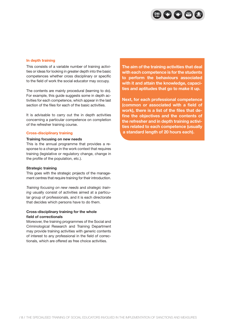

#### **In depth training**

This consists of a variable number of training activities or ideas for looking in greater depth into the basic competences whether cross disciplinary or specific to the field of work the social educator may occupy.

The contents are mainly procedural (learning to do). For example, this guide suggests some in depth activities for each competence, which appear in the last section of the files for each of the basic activities.

It is advisable to carry out the in depth activities concerning a particular competence on completion of the refresher training course.

#### **Cross-disciplinary training**

#### **Training focusing on new needs**

This is the annual programme that provides a response to a change in the work context that requires training (legislative or regulatory change, change in the profile of the population, etc.).

#### **Strategic training**

This goes with the strategic projects of the management centres that require training for their introduction.

*Training focusing on new needs* and *strategic training* usually consist of activities aimed at a particular group of professionals, and it is each directorate that decides which persons have to do them.

#### **Cross-disciplinary training for the whole field of correctionals**

Moreover, the training programmes of the Social and Criminological Research and Training Department may provide training activities with generic contents of interest to any professional in the field of correctionals, which are offered as free choice activities.

**The aim of the training activities that deal with each competence is for the students to perform the behaviours associated with it and attain the knowledge, capacities and aptitudes that go to make it up.**

**Next, for each professional competence (common or associated with a field of work), there is a list of the files that define the objectives and the contents of the refresher and in depth training activities related to each competence (usually a standard length of 20 hours each).**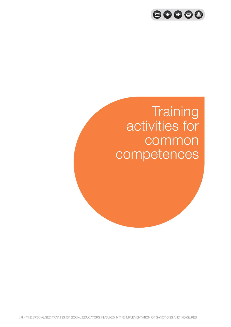

# **Training**  activities for common competences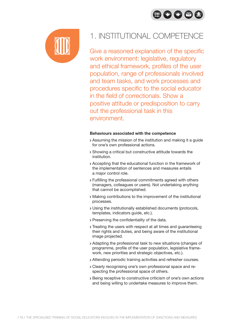



## 1. INSTITUTIONAL COMPETENCE

Give a reasoned explanation of the specific work environment: legislative, regulatory and ethical framework, profiles of the user population, range of professionals involved and team tasks, and work processes and procedures specific to the social educator in the field of correctionals. Show a positive attitude or predisposition to carry out the professional task in this environment.

- Assuming the mission of the institution and making it a guide for one's own professional actions.
- Showing a critical but constructive attitude towards the institution.
- Accepting that the educational function in the framework of the implementation of sentences and measures entails a major control role.
- Fulfilling the professional commitments agreed with others (managers, colleagues or users). Not undertaking anything that cannot be accomplished.
- Making contributions to the improvement of the institutional processes.
- Using the institutionally established documents (protocols, templates, indicators guide, etc.).
- Preserving the confidentiality of the data.
- **Treating the users with respect at all times and guaranteeing** their rights and duties, and being aware of the institutional image projected.
- Adapting the professional task to new situations (changes of programme, profile of the user population, legislative framework, new priorities and strategic objectives, etc.).
- Attending periodic training activities and refresher courses.
- Clearly recognising one's own professional space and respecting the professional space of others.
- Being receptive to constructive criticism of one's own actions and being willing to undertake measures to improve them.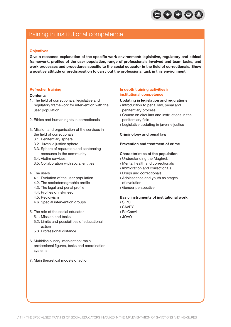

## Training in institutional competence

#### **Objectives**

**Give a reasoned explanation of the specific work environment: legislative, regulatory and ethical framework, profiles of the user population, range of professionals involved and team tasks, and work processes and procedures specific to the social educator in the field of correctionals. Show a positive attitude or predisposition to carry out the professional task in this environment.**

#### **Refresher training**

#### **Contents**

- 1. The field of correctionals: legislative and regulatory framework for intervention with the user population
- 2. Ethics and human rights in correctionals
- 3. Mission and organisation of the services in the field of correctionals
	- 3.1. Penitentiary sphere
	- 3.2. Juvenile justice sphere
	- 3.3. Sphere of reparation and sentencing measures in the community
	- 3.4. Victim services
	- 3.5. Collaboration with social entities

#### 4. The users

- 4.1. Evolution of the user population
- 4.2. The sociodemographic profile
- 4.3. The legal and penal profile
- 4.4. Profiles of risk/need
- 4.5. Recidivism
- 4.6. Special intervention groups
- 5. The role of the social educator
	- 5.1. Mission and tasks
	- 5.2. Limits and possibilities of educational action
	- 5.3. Professional distance
- 6. Multidisciplinary intervention: main professional figures, tasks and coordination systems
- 7. Main theoretical models of action

#### **In depth training activities in institutional competence**

#### **Updating in legislation and regulations**

- Introduction to penal law, penal and penitentiary process
- Course on circulars and instructions in the penitentiary field
- Legislative updating in juvenile justice

#### **Criminology and penal law**

#### **Prevention and treatment of crime**

#### **Characteristics of the population**

- Understanding the Maghreb
- Mental health and correctionals
- > Immigration and correctionals
- Drugs and correctionals
- Adolescence and youth as stages of evolution
- Gender perspective

### **Basic instruments of institutional work**

- SIPC
- SAVRY
- RisCanvi
- JOVO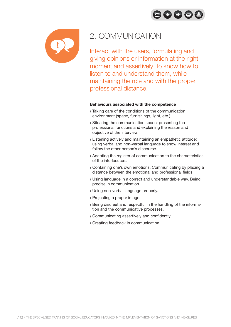OOOO



## 2. COMMUNICATION

Interact with the users, formulating and giving opinions or information at the right moment and assertively; to know how to listen to and understand them, while maintaining the role and with the proper professional distance.

- Taking care of the conditions of the communication environment (space, furnishings, light, etc.).
- Situating the communication space: presenting the professional functions and explaining the reason and objective of the interview.
- Listening actively and maintaining an empathetic attitude: using verbal and non-verbal language to show interest and follow the other person's discourse.
- Adapting the register of communication to the characteristics of the interlocutors.
- Containing one's own emotions. Communicating by placing a distance between the emotional and professional fields.
- Using language in a correct and understandable way. Being precise in communication.
- Using non-verbal language properly.
- Projecting a proper image.
- Being discreet and respectful in the handling of the information and the communicative processes.
- Communicating assertively and confidently.
- Creating feedback in communication.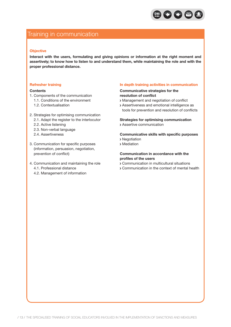

## Training in communication

#### **Objective**

**Interact with the users, formulating and giving opinions or information at the right moment and assertively; to know how to listen to and understand them, while maintaining the role and with the proper professional distance.**

#### **Refresher training**

#### **Contents**

- 1. Components of the communication
	- 1.1. Conditions of the environment
	- 1.2. Contextualisation
- 2. Strategies for optimising communication
	- 2.1. Adapt the register to the interlocutor
	- 2.2. Active listening
	- 2.3. Non-verbal language
	- 2.4. Assertiveness
- 3. Communication for specific purposes (information, persuasion, negotiation, prevention of conflict)
- 4. Communication and maintaining the role 4.1. Professional distance
	- 4.2. Management of information

#### **In depth training activities in communication**

#### **Communicative strategies for the resolution of conflict**

- Management and negotiation of conflict
- Assertiveness and emotional intelligence as tools for prevention and resolution of conflicts

#### **Strategies for optimising communication**

Assertive communication

#### **Communicative skills with specific purposes**

- > Negotiation
- Mediation

#### **Communication in accordance with the profiles of the users**

- Communication in multicultural situations
- Communication in the context of mental health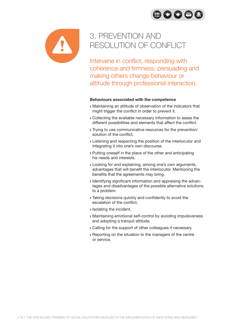



## 3. PREVENTION AND RESOLUTION OF CONFLICT

Intervene in conflict, responding with coherence and firmness, persuading and making others change behaviour or attitude through professional interaction.

- Maintaining an attitude of observation of the indicators that might trigger the conflict in order to prevent it.
- Collecting the available necessary information to asses the different possibilities and elements that affect the conflict.
- Trying to use communicative resources for the prevention/ solution of the conflict.
- Listening and respecting the position of the interlocutor and integrating it into one's own discourse.
- Putting oneself in the place of the other and anticipating his needs and interests.
- Looking for and explaining, among one's own arguments, advantages that will benefit the interlocutor. Mentioning the benefits that the agreements may bring.
- Identifying significant information and appraising the advantages and disadvantages of the possible alternative solutions to a problem.
- Taking decisions quickly and confidently to avoid the escalation of the conflict.
- **>** Isolating the incident.
- Maintaining emotional self-control by avoiding impulsiveness and adopting a tranquil attitude.
- Calling for the support of other colleagues if necessary.
- Reporting on the situation to the managers of the centre or service.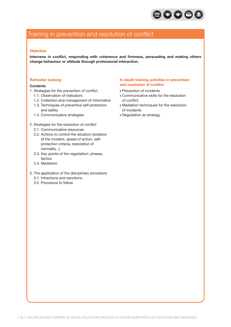

## Training in prevention and resolution of conflict

#### **Objective**

**Intervene in conflict, responding with coherence and firmness, persuading and making others change behaviour or attitude through professional interaction.**

#### **Refresher training**

#### **Contents**

- 1. Strategies for the prevention of conflict
	- 1.1. Observation of indicators
	- 1.2. Collection and management of information
	- 1.3. Techniques of preventive self-protection and safety
	- 1.4. Communicative strategies
- 2. Strategies for the resolution of conflict
	- 2.1. Communicative resources
	- 2.2. Actions to control the situation (isolation of the incident, speed of action, selfprotection criteria, restoration of normality...)
	- 2.3. Key points of the negotiation: phases, tactics
	- 2.4. Mediation
- 3. The application of the disciplinary procedure
	- 3.1. Infractions and sanctions
	- 3.2. Procedure to follow

#### **In depth training activities in prevention and resolution of conflict**

- Prevention of incidents
- Communicative skills for the resolution of conflict
- Mediation techniques for the resolution of incidents
- Negotiation as strategy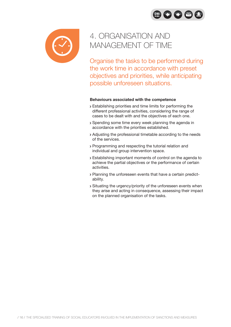$\bigoplus$  008



## 4. ORGANISATION AND MANAGEMENT OF TIME

Organise the tasks to be performed during the work time in accordance with preset objectives and priorities, while anticipating possible unforeseen situations.

- Establishing priorities and time limits for performing the different professional activities, considering the range of cases to be dealt with and the objectives of each one.
- Spending some time every week planning the agenda in accordance with the priorities established.
- Adjusting the professional timetable according to the needs of the services.
- Programming and respecting the tutorial relation and individual and group intervention space.
- Establishing important moments of control on the agenda to achieve the partial objectives or the performance of certain activities.
- Planning the unforeseen events that have a certain predictability.
- Situating the urgency/priority of the unforeseen events when they arise and acting in consequence, assessing their impact on the planned organisation of the tasks.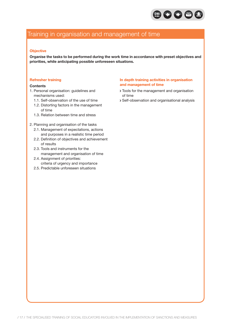

## Training in organisation and management of time

#### **Objective**

**Organise the tasks to be performed during the work time in accordance with preset objectives and priorities, while anticipating possible unforeseen situations.**

#### **Refresher training**

#### **Contents**

- 1. Personal organisation: guidelines and mechanisms used:
	- 1.1. Self-observation of the use of time
	- 1.2. Distorting factors in the management of time
	- 1.3. Relation between time and stress

#### 2. Planning and organisation of the tasks

- 2.1. Management of expectations, actions and purposes in a realistic time period
- 2.2. Definition of objectives and achievement of results
- 2.3. Tools and instruments for the management and organisation of time
- 2.4. Assignment of priorities: criteria of urgency and importance
- 2.5. Predictable unforeseen situations

#### **In depth training activities in organisation and management of time**

- Tools for the management and organisation of time
- Self-observation and organisational analysis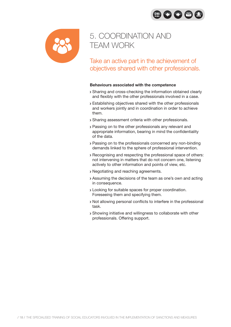80086



## 5. COORDINATION AND TEAM WORK

Take an active part in the achievement of objectives shared with other professionals.

- Sharing and cross-checking the information obtained clearly and flexibly with the other professionals involved in a case.
- Establishing objectives shared with the other professionals and workers jointly and in coordination in order to achieve them.
- Sharing assessment criteria with other professionals.
- Passing on to the other professionals any relevant and appropriate information, bearing in mind the confidentiality of the data.
- Passing on to the professionals concerned any non-binding demands linked to the sphere of professional intervention.
- Recognising and respecting the professional space of others: not intervening in matters that do not concern one, listening actively to other information and points of view, etc.
- Negotiating and reaching agreements.
- Assuming the decisions of the team as one's own and acting in consequence.
- Looking for suitable spaces for proper coordination. Foreseeing them and specifying them.
- Not allowing personal conflicts to interfere in the professional task.
- Showing initiative and willingness to collaborate with other professionals. Offering support.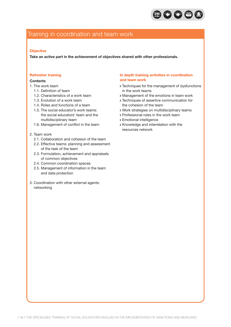

## Training in coordination and team work

#### **Objective**

**Take an active part in the achievement of objectives shared with other professionals.**

#### **Refresher training**

#### **Contents**

- 1. The work team
	- 1.1. Definition of team
	- 1.2. Characteristics of a work team
	- 1.3. Evolution of a work team
	- 1.4. Roles and functions of a team
	- 1.5. The social educator's work teams: the social educators' team and the multidisciplinary team
	- 1.6. Management of conflict in the team
- 2. Team work
	- 2.1. Collaboration and cohesion of the team
	- 2.2. Effective teams: planning and assessment of the task of the team
	- 2.3. Formulation, achievement and appraisals of common objectives
	- 2.4. Common coordination spaces
	- 2.5. Management of information in the team and data protection
- 3. Coordination with other external agents: networking

#### **In depth training activities in coordination and team work**

- Techniques for the management of dysfunctions in the work teams
- Management of the emotions in team work
- Techniques of assertive communication for the cohesion of the team
- Work strategies on multidisciplinary teams
- Professional roles in the work team
- Emotional intelligence
- Knowledge and interrelation with the resources network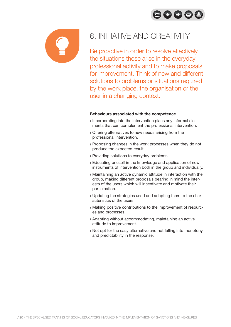



## 6. INITIATIVE AND CREATIVITY

Be proactive in order to resolve effectively the situations those arise in the everyday professional activity and to make proposals for improvement. Think of new and different solutions to problems or situations required by the work place, the organisation or the user in a changing context.

- Incorporating into the intervention plans any informal elements that can complement the professional intervention.
- Offering alternatives to new needs arising from the professional intervention.
- Proposing changes in the work processes when they do not produce the expected result.
- Providing solutions to everyday problems.
- Educating oneself in the knowledge and application of new instruments of intervention both in the group and individually.
- Maintaining an active dynamic attitude in interaction with the group, making different proposals bearing in mind the interests of the users which will incentivate and motivate their participation.
- Updating the strategies used and adapting them to the characteristics of the users.
- Making positive contributions to the improvement of resources and processes.
- Adapting without accommodating, maintaining an active attitude to improvement.
- Not opt for the easy alternative and not falling into monotony and predictability in the response.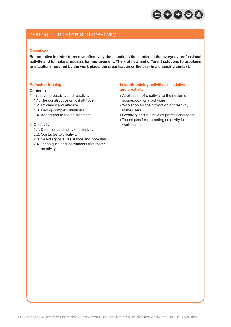

### Training in initiative and creativity

#### **Objectives**

**Be proactive in order to resolve effectively the situations those arise in the everyday professional activity and to make proposals for improvement. Think of new and different solutions to problems or situations required by the work place, the organisation or the user in a changing context.**

#### **Refresher training**

#### **Contents**

- 1. Initiative, proactivity and reactivity
	- 1.1. The constructive critical attitude
	- 1.2. Efficiency and efficacy
	- 1.3. Facing complex situations
	- 1.4. Adaptation to the environment

#### 2. Creativity

- 2.1. Definition and utility of creativity
- 2.2. Obstacles to creativity
- 2.3. Self-diagnosis, resistance and potential
- 2.4. Techniques and instruments that foster creativity

#### **In depth training activities in initiative and creativity**

- Application of creativity to the design of socioeducational activities
- Workshop for the promotion of creativity in the users
- Creativity and initiative as professional tools
- Techniques for promoting creativity in work teams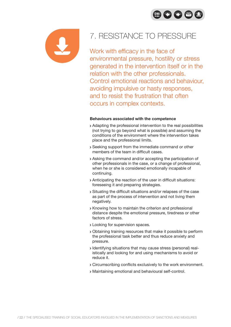



## 7. RESISTANCE TO PRESSURE

## Work with efficacy in the face of

environmental pressure, hostility or stress generated in the intervention itself or in the relation with the other professionals. Control emotional reactions and behaviour, avoiding impulsive or hasty responses, and to resist the frustration that often occurs in complex contexts.

- Adapting the professional intervention to the real possibilities (not trying to go beyond what is possible) and assuming the conditions of the environment where the intervention takes place and the professional limits.
- Seeking support from the immediate command or other members of the team in difficult cases.
- Asking the command and/or accepting the participation of other professionals in the case, or a change of professional, when he or she is considered emotionally incapable of continuing.
- Anticipating the reaction of the user in difficult situations: foreseeing it and preparing strategies.
- Situating the difficult situations and/or relapses of the case as part of the process of intervention and not living them negatively.
- Knowing how to maintain the criterion and professional distance despite the emotional pressure, tiredness or other factors of stress.
- Looking for supervision spaces.
- Obtaining training resources that make it possible to perform the professional task better and thus reduce anxiety and pressure.
- Identifying situations that may cause stress (personal) realistically and looking for and using mechanisms to avoid or reduce it.
- Circumscribing conflicts exclusively to the work environment.
- Maintaining emotional and behavioural self-control.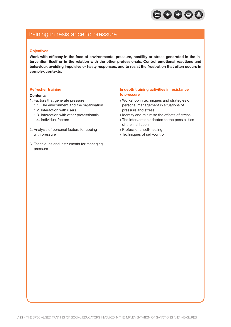

### Training in resistance to pressure

#### **Objectives**

**Work with efficacy in the face of environmental pressure, hostility or stress generated in the intervention itself or in the relation with the other professionals. Control emotional reactions and behaviour, avoiding impulsive or hasty responses, and to resist the frustration that often occurs in complex contexts.**

#### **Refresher training**

#### **Contents**

- 1. Factors that generate pressure
	- 1.1. The environment and the organisation
	- 1.2. Interaction with users
	- 1.3. Interaction with other professionals
	- 1.4. Individual factors
- 2. Analysis of personal factors for coping with pressure
- 3. Techniques and instruments for managing pressure

#### **In depth training activities in resistance to pressure**

- Workshop in techniques and strategies of personal management in situations of pressure and stress
- I dentify and minimise the effects of stress
- The intervention adapted to the possibilities of the institution
- Professional self-healing
- Techniques of self-control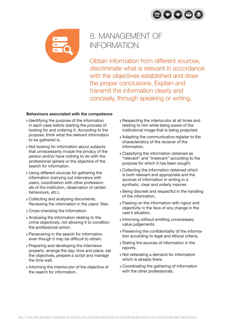



## 8. MANAGEMENT OF INFORMATION

Obtain information from different sources, discriminate what is relevant in accordance with the objectives established and draw the proper conclusions. Explain and transmit the information clearly and concisely, through speaking or writing.

- **I** Identifying the purpose of the information in each case before starting the process of looking for and ordering it. According to the purpose, think what the relevant information to be gathered is.
- Not looking for information about subjects that unnecessarily invade the privacy of the person and/or have nothing to do with the professional sphere or the objective of the search for information.
- Using different sources for gathering the information (carrying out interviews with users, coordination with other professionals of the institution, observation of certain behaviours, etc.).
- Collecting and analysing documents. Reviewing the information in the users' files.
- Cross-checking the information.
- Analysing the information relating to the crime objectively, not allowing it to condition the professional action.
- Persevering in the search for information even though it may be difficult to obtain.
- Preparing and developing the interviews properly: arrange the day, time and place, set the objectives, prepare a script and manage the time well.
- Informing the interlocutor of the objective of the search for information.
- Respecting the interlocutor at all times and relating to him while being aware of the institutional image that is being projected.
- Adapting the communicative register to the characteristics of the receiver of the information.
- Classifying the information obtained as "relevant" and "irrelevant" according to the purpose for which it has been sought.
- Collecting the information obtained which is both relevant and appropriate and the sources of information in writing in a synthetic, clear and orderly manner.
- Being discreet and respectful in the handling of the information.
- Passing on the information with rigour and objectivity in the face of any change in the user's situation.
- Informing without emitting unnecessary value judgements.
- Preserving the confidentiality of the information according to legal and ethical criteria.
- Stating the sources of information in the reports.
- Not reiterating a demand for information which is already there.
- Coordinating the gathering of information with the other professionals.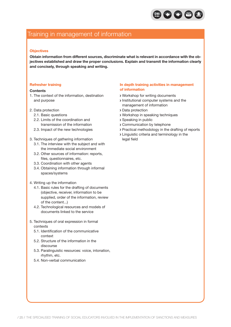

## Training in management of information

#### **Objectives**

**Obtain information from different sources, discriminate what is relevant in accordance with the objectives established and draw the proper conclusions. Explain and transmit the information clearly and concisely, through speaking and writing.**

#### **Refresher training**

#### **Contents**

- 1. The context of the information, destination and purpose
- 2. Data protection
	- 2.1. Basic questions
	- 2.2. Limits of the coordination and transmission of the information
	- 2.3. Impact of the new technologies
- 3. Techniques of gathering information
	- 3.1. The interview with the subject and with the immediate social environment
	- 3.2. Other sources of information: reports, files, questionnaires, etc.
	- 3.3. Coordination with other agents
	- 3.4. Obtaining information through informal spaces/systems
- 4. Writing up the information
	- 4.1. Basic rules for the drafting of documents (objective, receiver, information to be supplied, order of the information, review of the content...)
	- 4.2. Technological resources and models of documents linked to the service
- 5. Techniques of oral expression in formal contexts
	- 5.1. Identification of the communicative context
	- 5.2. Structure of the information in the discourse
	- 5.3. Paralinguistic resources: voice, intonation, rhythm, etc.
	- 5.4. Non-verbal communication

#### **In depth training activities in management of information**

- Workshop for writing documents
- Institutional computer systems and the management of information
- Data protection
- Workshop in speaking techniques
- Speaking in public
- Communication by telephone
- Practical methodology in the drafting of reports
- Linguistic criteria and terminology in the legal field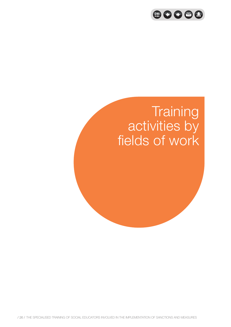

# **Training**  activities by fields of work

/ 26 / The specialised training of social educators involved in the implementation of sanctions and measures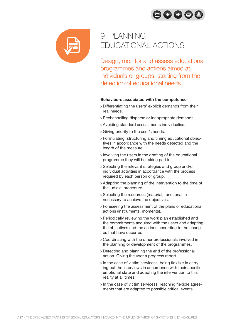80086



## 9. PLANNING EDUCATIONAL ACTIONS

Design, monitor and assess educational programmes and actions aimed at individuals or groups, starting from the detection of educational needs.

- Differentiating the users' explicit demands from their real needs.
- Rechannelling disperse or inappropriate demands.
- Avoiding standard assessments individualise.
- Giving priority to the user's needs.
- Formulating, structuring and timing educational objectives in accordance with the needs detected and the length of the measure.
- Involving the users in the drafting of the educational programme they will be taking part in.
- Selecting the relevant strategies and group and/or individual activities in accordance with the process required by each person or group.
- Adapting the planning of the intervention to the time of the judicial procedure.
- Selecting the resources (material, functional...) necessary to achieve the objectives.
- Foreseeing the assessment of the plans or educational actions (instruments, moments).
- Periodically reviewing the work plan established and the commitments acquired with the users and adapting the objectives and the actions according to the changes that have occurred.
- Coordinating with the other professionals involved in the planning or development of the programmes.
- Detecting and planning the end of the professional action. Giving the user a progress report.
- In the case of victim servicess, being flexible in carrying out the interviews in accordance with their specific emotional state and adapting the intervention to this reality at all times.
- In the case of victim servicess, reaching flexible agreements that are adapted to possible critical events.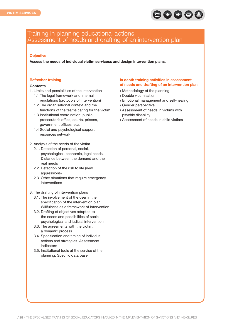

### Training in planning educational actions Assessment of needs and drafting of an intervention plan

#### **Objective**

**Assess the needs of individual victim servicess and design intervention plans.**

#### **Refresher training**

#### **Contents**

- 1. Limits and possibilities of the intervention
	- 1.1 The legal framework and internal regulations (protocols of intervention)
	- 1.2 The organisational context and the functions of the teams caring for the victim
	- 1.3 Institutional coordination: public prosecutor's office, courts, prisons, government offices, etc.
	- 1.4 Social and psychological support resources network
- 2. Analysis of the needs of the victim
	- 2.1. Detection of personal, social, psychological, economic, legal needs. Distance between the demand and the real needs
	- 2.2. Detection of the risk to life (new aggressions)
	- 2.3. Other situations that require emergency interventions
- 3. The drafting of intervention plans
	- 3.1. The involvement of the user in the specification of the intervention plan. Willfulness as a framework of intervention
	- 3.2. Drafting of objectives adapted to the needs and possibilities of social, psychological and judicial intervention
	- 3.3. The agreements with the victim: a dynamic process
	- 3.4. Specification and timing of individual actions and strategies. Assessment indicators
	- 3.5. Institutional tools at the service of the planning. Specific data base

#### **In depth training activities in assessment of needs and drafting of an intervention plan**

- Methodology of the planning
- Double victimisation
- Emotional management and self-healing
- Gender perspective
- Assessment of needs in victims with psychic disability
- Assessment of needs in child victims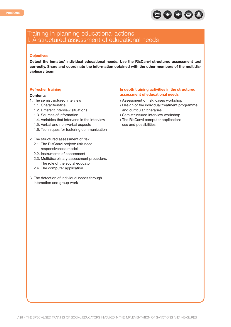

### Training in planning educational actions I. A structured assessment of educational needs

#### **Objectives**

**Detect the inmates' individual educational needs. Use the RisCanvi structured assessment tool correctly. Share and coordinate the information obtained with the other members of the multidisciplinary team.**

#### **Refresher training**

#### **Contents**

- 1. The semistructured interview
	- 1.1. Characteristics
	- 1.2. Different interview situations
	- 1.3. Sources of information
	- 1.4. Variables that intervene in the interview
	- 1.5. Verbal and non-verbal aspects
	- 1.6. Techniques for fostering communication
- 2. The structured assessment of risk
	- 2.1. The RisCanvi project: risk-needresponsiveness model
	- 2.2. Instruments of assessment
	- 2.3. Multidisciplinary assessment procedure. The role of the social educator
	- 2.4. The computer application
- 3. The detection of individual needs through interaction and group work

#### **In depth training activities in the structured assessment of educational needs**

- Assessment of risk: cases workshop
- Design of the individual treatment programme and curricular itineraries
- Semistructured interview workshop
- The RisCanvi computer application: use and possibilities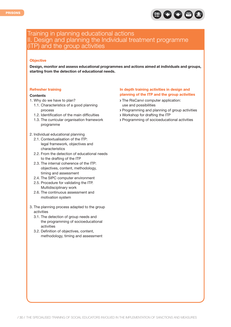

### Training in planning educational actions II. Design and planning the Individual treatment programme (ITP) and the group activities

#### **Objective**

**Design, monitor and assess educational programmes and actions aimed at individuals and groups, starting from the detection of educational needs.**

#### **Refresher training**

#### **Contents**

- 1. Why do we have to plan?
	- 1.1. Characteristics of a good planning process
	- 1.2. Identification of the main difficulties
	- 1.3. The curricular organisation framework programme
- 2. Individual educational planning
	- 2.1. Contextualisation of the ITP: legal framework, objectives and characteristics
	- 2.2. From the detection of educational needs to the drafting of the ITP
	- 2.3. The internal coherence of the ITP: objectives, content, methodology, timing and assessment
	- 2.4. The SIPC computer environment
	- 2.5. Procedure for validating the ITP. Multidisciplinary work
	- 2.6. The continuous assessment and motivation system
- 3. The planning process adapted to the group activities
	- 3.1. The detection of group needs and the programming of socioeducational activities
	- 3.2. Definition of objectives, content, methodology, timing and assessment

#### **In depth training activities in design and planning of the ITP and the group activities**

- > The RisCanvi computer application: use and possibilities
- Programming and planning of group activities
- Workshop for drafting the ITP
- Programming of socioeducational activities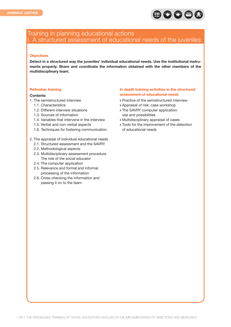

### Training in planning educational actions I. A structured assessment of educational needs of the juveniles

#### **Objectives**

**Detect in a structured way the juveniles' individual educational needs. Use the institutional instruments properly. Share and coordinate the information obtained with the other members of the multidisciplinary team.**

#### **Refresher training**

#### **Contents**

- 1. The semistructured interview
	- 1.1. Characteristics
	- 1.2. Different interview situations
	- 1.3. Sources of information
	- 1.4. Variables that intervene in the interview
	- 1.5. Verbal and non-verbal aspects
	- 1.6. Techniques for fostering communication
- 2. The appraisal of individual educational needs
	- 2.1. Structured assessment and the SAVRY
	- 2.2. Methodological aspects
	- 2.3. Multidisciplinary assessment procedure. The role of the social educator
	- 2.4. The computer application
	- 2.5. Relevance and formal and informal processing of the information
	- 2.6. Cross checking the information and passing it on to the team

#### **In depth training activities in the structured assessment of educational needs**

- Practice of the semistructured interview
- Appraisal of risk: case workshop
- > The SAVRY computer application: use and possibilities
- Multidisciplinary appraisal of cases
- Tools for the improvement of the detection of educational needs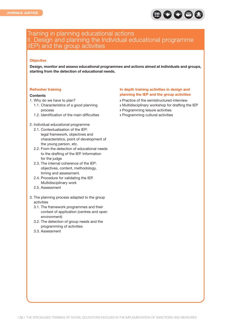

### Training in planning educational actions II. Design and planning the Individual educational programme (IEP) and the group activities

#### **Objective**

**Design, monitor and assess educational programmes and actions aimed at individuals and groups, starting from the detection of educational needs.**

#### **Refresher training**

#### **Contents**

- 1. Why do we have to plan?
	- 1.1. Characteristics of a good planning process
	- 1.2. Identification of the main difficulties
- 2. Individual educational programme
	- 2.1. Contextualisation of the IEP: legal framework, objectives and characteristics, point of development of the young person, etc.
	- 2.2. From the detection of educational needs to the drafting of the IEP. Information for the judge
	- 2.3. The internal coherence of the IEP: objectives, content, methodology, timing and assessment.
	- 2.4. Procedure for validating the IEP. Multidisciplinary work
	- 2.5. Assessment
- 3. The planning process adapted to the group activities
	- 3.1. The framework programmes and their context of application (centres and open environment)
	- 3.2. The detection of group needs and the programming of activities
	- 3.3. Assessment

#### **In depth training activities in design and planning the IEP and the group activities**

- Practice of the semistructured interview
- Multidisciplinary workshop for drafting the IEP
- Programming leisure activities
- Programming cultural activities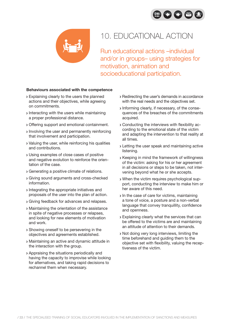



## 10. EDUCATIONAL ACTION

Run educational actions –individual and/or in groups– using strategies for motivation, animation and socioeducational participation.

- Explaining clearly to the users the planned actions and their objectives, while agreeing on commitments.
- **Interacting with the users while maintaining** a proper professional distance.
- Offering support and emotional containment.
- Involving the user and permanently reinforcing that involvement and participation.
- Valuing the user, while reinforcing his qualities and contributions.
- Using examples of close cases of positive and negative evolution to reinforce the orientation of the case.
- Generating a positive climate of relations.
- Giving sound arguments and cross-checked information.
- Integrating the appropriate initiatives and proposals of the user into the plan of action.
- Giving feedback for advances and relapses.
- Maintaining the orientation of the assistance in spite of negative processes or relapses, and looking for new elements of motivation and work.
- Showing oneself to be persevering in the objectives and agreements established.
- Maintaining an active and dynamic attitude in the interaction with the group.
- Appraising the situations periodically and having the capacity to improvise while looking for alternatives, and taking rapid decisions to rechannel them when necessary.
- Redirecting the user's demands in accordance with the real needs and the objectives set.
- Informing clearly, if necessary, of the consequences of the breaches of the commitments acquired.
- Conducting the interviews with flexibility according to the emotional state of the victim and adapting the intervention to that reality at all times.
- Letting the user speak and maintaining active listening.
- Keeping in mind the framework of willingness of the victim: asking for his or her agreement in all decisions or steps to be taken, not intervening beyond what he or she accepts.
- When the victim requires psychological support, conducting the interview to make him or her aware of this need.
- In the case of care for victims, maintaining a tone of voice, a posture and a non-verbal language that convey tranquillity, confidence and openness.
- Explaining clearly what the services that can be offered to the victims are and maintaining an attitude of attention to their demands.
- Not doing very long interviews, limiting the time beforehand and guiding them to the objective set with flexibility, valuing the receptiveness of the victim.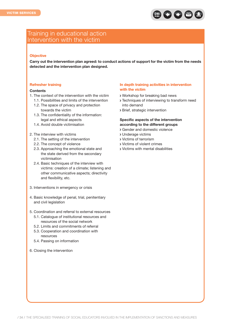

### Training in educational action Intervention with the victim

#### **Objective**

**Carry out the intervention plan agreed: to conduct actions of support for the victim from the needs detected and the intervention plan designed.**

#### **Refresher training**

#### **Contents**

- 1. The context of the intervention with the victim
	- 1.1. Possibilities and limits of the intervention 1.2. The space of privacy and protection towards the victim
	- 1.3. The confidentiality of the information: legal and ethical aspects
	- 1.4. Avoid double victimisation
- 2. The interview with victims
	- 2.1. The setting of the intervention
	- 2.2. The concept of violence
	- 2.3. Approaching the emotional state and the state derived from the secondary victimisation
	- 2.4. Basic techniques of the interview with victims: creation of a climate; listening and other communicative aspects; directivity and flexibility, etc.
- 3. Interventions in emergency or crisis
- 4. Basic knowledge of penal, trial, penitentiary and civil legislation
- 5. Coordination and referral to external resources
	- 5.1. Catalogue of institutional resources and resources of the social network
	- 5.2. Limits and commitments of referral
	- 5.3. Cooperation and coordination with resources
	- 5.4. Passing on information
- 6. Closing the intervention

#### **In depth training activities in intervention with the victim**

- Workshop for breaking bad news
- Techniques of interviewing to transform need into demand
- Brief, strategic intervention

#### **Specific aspects of the intervention according to the different groups**

- Gender and domestic violence
- Underage victims
- Victims of terrorism
- Victims of violent crimes
- Victims with mental disabilities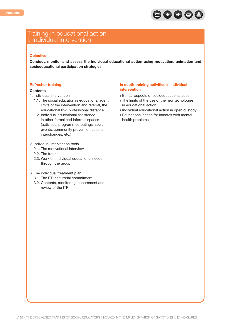

### Training in educational action I. Individual intervention

#### **Objective**

**Conduct, monitor and assess the individual educational action using motivation, animation and socioeducational participation strategies.**

#### **Refresher training**

#### **Contents**

- 1. Individual intervention
	- 1.1. The social educator as educational agent: limits of the intervention and referral, the educational link, professional distance
	- 1.2. Individual educational assistance in other formal and informal spaces (activities, programmed outings, social events, community prevention actions, interchanges, etc.)
- 2. Individual intervention tools
	- 2.1. The motivational interview
	- 2.2. The tutorial
	- 2.3. Work on individual educational needs through the group
- 3. The individual treatment plan
	- 3.1. The ITP as tutorial commitment
	- 3.2. Contents, monitoring, assessment and review of the ITP

#### **In depth training activities in individual intervention**

- Ethical aspects of socioeducational action
- > The limits of the use of the new tecnologies in educational action
- Individual educational action in open custody
- Educational action for inmates with mental health problems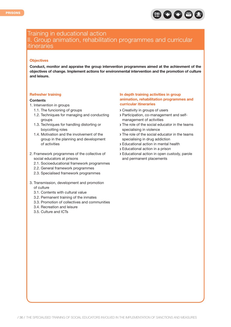

### Training in educational action II. Group animation, rehabilitation programmes and curricular itineraries

#### **Objectives**

**Conduct, monitor and appraise the group intervention programmes aimed at the achievment of the objectives of change. Implement actions for environmental intervention and the promotion of culture and leisure.**

#### **Refresher training**

#### **Contents**

- 1. Intervention in groups
	- 1.1. The funcioning of groups
	- 1.2. Techniques for managing and conducting groups
	- 1.3. Techniques for handling distorting or boycotting roles
	- 1.4. Motivation and the involvement of the group in the planning and development of activities
- 2. Framework programmes of the collective of social educators at prisons
	- 2.1. Socioeducational framework programmes
	- 2.2. General framework programmes
	- 2.3. Specialised framework programmes
- 3. Transmission, development and promotion of culture
	- 3.1. Contents with cultural value
	- 3.2. Permanent training of the inmates
	- 3.3. Promotion of collectives and communities
	- 3.4. Recreation and leisure
	- 3.5. Culture and ICTs

#### **In depth training activities in group animation, rehabilitation programmes and curricular itineraries**

- Creativity in groups of users
- Participation, co-management and selfmanagement of activities
- > The role of the social educator in the teams specialising in violence
- > The role of the social educator in the teams specialising in drug addiction
- Educational action in mental health
- Educational action in a prison
- Educational action in open custody, parole and permanent placements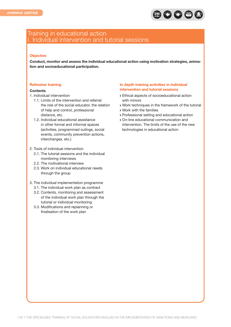

### Training in educational action I. Individual intervention and tutorial sessions

#### **Objective**

**Conduct, monitor and assess the individual educational action using motivation strategies, animation and socioeducational participation.**

#### **Refresher training**

#### **Contents**

- 1. Individual intervention
	- 1.1. Limits of the intervention and referral: the role of the social educator, the relation of help and control, professional distance, etc.
	- 1.2. Individual educational assistance in other formal and informal spaces (activities, programmed outings, social events, community prevention actions, interchanges, etc.)
- 2. Tools of individual intervention
	- 2.1. The tutorial sessions and the individual monitoring interviews
	- 2.2. The motivational interview
	- 2.3. Work on individual educational needs through the group
- 3. The individual implementation programme
	- 3.1. The individual work plan as contract
	- 3.2. Contents, monitoring and assessment of the individual work plan through the tutorial or individual monitoring
	- 3.3. Modifications and replanning or finalisation of the work plan

#### **In depth training activities in individual intervention and tutorial sessions**

- Ethical aspects of socioeducational action with minors
- Work techniques in the framework of the tutorial
- Work with the families
- Professional setting and educational action
- On-line educational communication and intervention. The limits of the use of the new technologies in educational action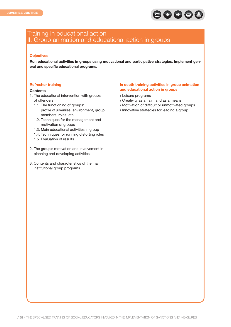

### Training in educational action II. Group animation and educational action in groups

#### **Objectives**

**Run educational activities in groups using motivational and participative strategies. Implement general and specific educational programs.**

#### **Refresher training**

#### **Contents**

- 1. The educational intervention with groups of offenders
	- 1.1. The functioning of groups: profile of juveniles, environment, group members, roles, etc.
	- 1.2. Techniques for the management and motivation of groups
	- 1.3. Main educational activities in group
	- 1.4. Techniques for running distorting roles
	- 1.5. Evaluation of results
- 2. The group's motivation and involvement in planning and developing activities
- 3. Contents and characteristics of the main institutional group programs

#### **In depth training activities in group animation and educational action in groups**

- Leisure programs
- Creativity as an aim and as a means
- Motivation of difficult or unmotivated groups
- Innovative strategies for leading a group